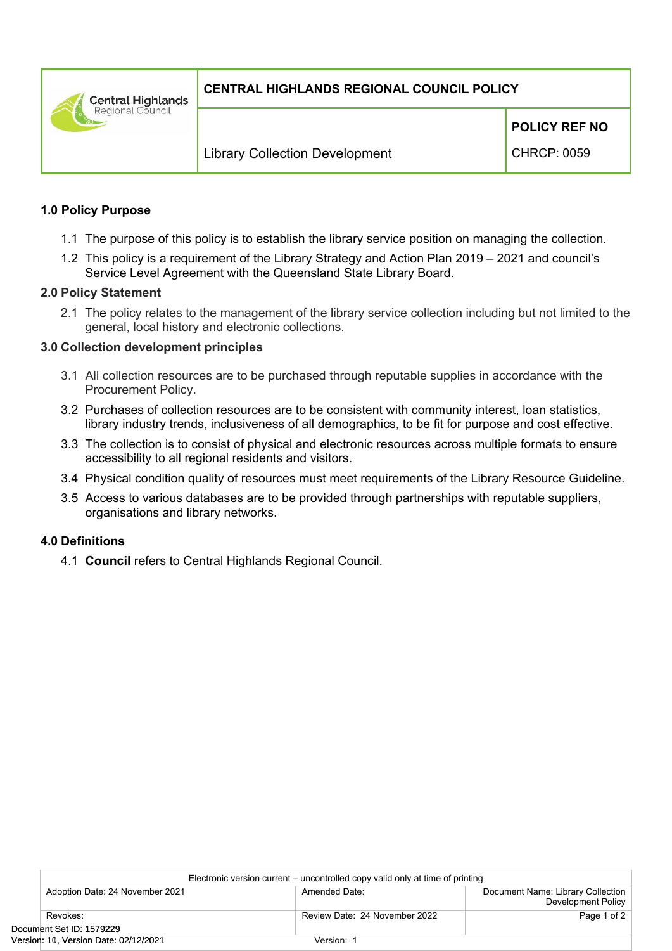**Central Highlands** Regional Council

# **CENTRAL HIGHLANDS REGIONAL COUNCIL POLICY**

**POLICY REF NO**

CHRCP: 0059

### **1.0 Policy Purpose**

- 1.1 The purpose of this policy is to establish the library service position on managing the collection.
- 1.2 This policy is a requirement of the Library Strategy and Action Plan 2019 2021 and council's Service Level Agreement with the Queensland State Library Board.

#### **2.0 Policy Statement**

2.1 The policy relates to the management of the library service collection including but not limited to the general, local history and electronic collections.

### **3.0 Collection development principles**

- 3.1 All collection resources are to be purchased through reputable supplies in accordance with the Procurement Policy.
- 3.2 Purchases of collection resources are to be consistent with community interest, loan statistics, library industry trends, inclusiveness of all demographics, to be fit for purpose and cost effective.
- 3.3 The collection is to consist of physical and electronic resources across multiple formats to ensure accessibility to all regional residents and visitors.
- 3.4 Physical condition quality of resources must meet requirements of the Library Resource Guideline.
- 3.5 Access to various databases are to be provided through partnerships with reputable suppliers, organisations and library networks.

# **4.0 Definitions**

4.1 **Council** refers to Central Highlands Regional Council.

| Electronic version current – uncontrolled copy valid only at time of printing |                               |                                                         |  |  |
|-------------------------------------------------------------------------------|-------------------------------|---------------------------------------------------------|--|--|
| Adoption Date: 24 November 2021                                               | Amended Date:                 | Document Name: Library Collection<br>Development Policy |  |  |
| Revokes:                                                                      | Review Date: 24 November 2022 | Page 1 of 2                                             |  |  |
| Document Set ID: 1579229                                                      |                               |                                                         |  |  |
| Version: 10, Version Date: 02/12/2021                                         | Version: 1                    |                                                         |  |  |
|                                                                               |                               |                                                         |  |  |